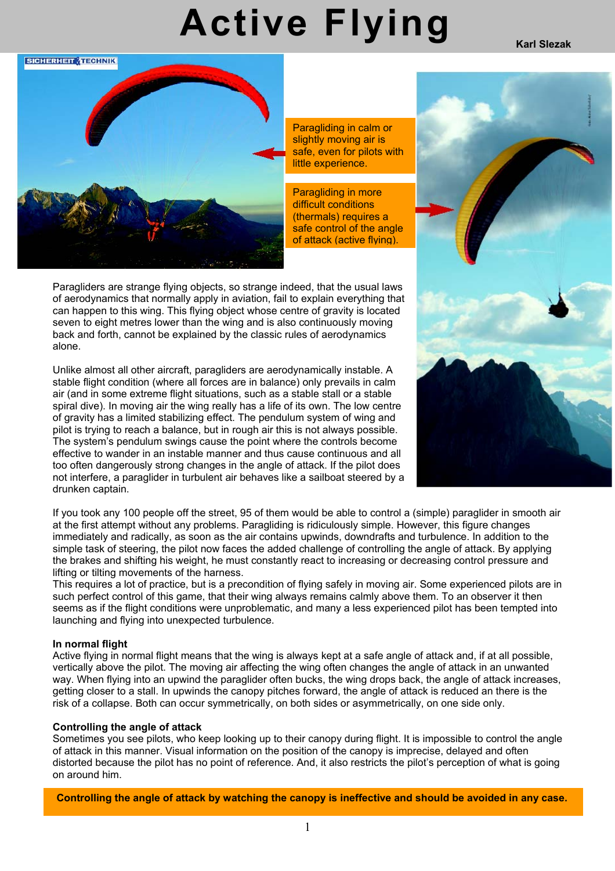# **Active Flying**

**Karl Slezak**



Paragliding in calm or slightly moving air is safe, even for pilots with little experience.

Paragliding in more difficult conditions (thermals) requires a safe control of the angle of attack (active flying).

Paragliders are strange flying objects, so strange indeed, that the usual laws of aerodynamics that normally apply in aviation, fail to explain everything that can happen to this wing. This flying object whose centre of gravity is located seven to eight metres lower than the wing and is also continuously moving back and forth, cannot be explained by the classic rules of aerodynamics alone.

Unlike almost all other aircraft, paragliders are aerodynamically instable. A stable flight condition (where all forces are in balance) only prevails in calm air (and in some extreme flight situations, such as a stable stall or a stable spiral dive). In moving air the wing really has a life of its own. The low centre of gravity has a limited stabilizing effect. The pendulum system of wing and pilot is trying to reach a balance, but in rough air this is not always possible. The system's pendulum swings cause the point where the controls become effective to wander in an instable manner and thus cause continuous and all too often dangerously strong changes in the angle of attack. If the pilot does not interfere, a paraglider in turbulent air behaves like a sailboat steered by a drunken captain.



If you took any 100 people off the street, 95 of them would be able to control a (simple) paraglider in smooth air at the first attempt without any problems. Paragliding is ridiculously simple. However, this figure changes immediately and radically, as soon as the air contains upwinds, downdrafts and turbulence. In addition to the simple task of steering, the pilot now faces the added challenge of controlling the angle of attack. By applying the brakes and shifting his weight, he must constantly react to increasing or decreasing control pressure and lifting or tilting movements of the harness.

This requires a lot of practice, but is a precondition of flying safely in moving air. Some experienced pilots are in such perfect control of this game, that their wing always remains calmly above them. To an observer it then seems as if the flight conditions were unproblematic, and many a less experienced pilot has been tempted into launching and flying into unexpected turbulence.

#### **In normal flight**

Active flying in normal flight means that the wing is always kept at a safe angle of attack and, if at all possible, vertically above the pilot. The moving air affecting the wing often changes the angle of attack in an unwanted way. When flying into an upwind the paraglider often bucks, the wing drops back, the angle of attack increases, getting closer to a stall. In upwinds the canopy pitches forward, the angle of attack is reduced an there is the risk of a collapse. Both can occur symmetrically, on both sides or asymmetrically, on one side only.

#### **Controlling the angle of attack**

Sometimes you see pilots, who keep looking up to their canopy during flight. It is impossible to control the angle of attack in this manner. Visual information on the position of the canopy is imprecise, delayed and often distorted because the pilot has no point of reference. And, it also restricts the pilot's perception of what is going on around him.

 **Controlling the angle of attack by watching the canopy is ineffective and should be avoided in any case.**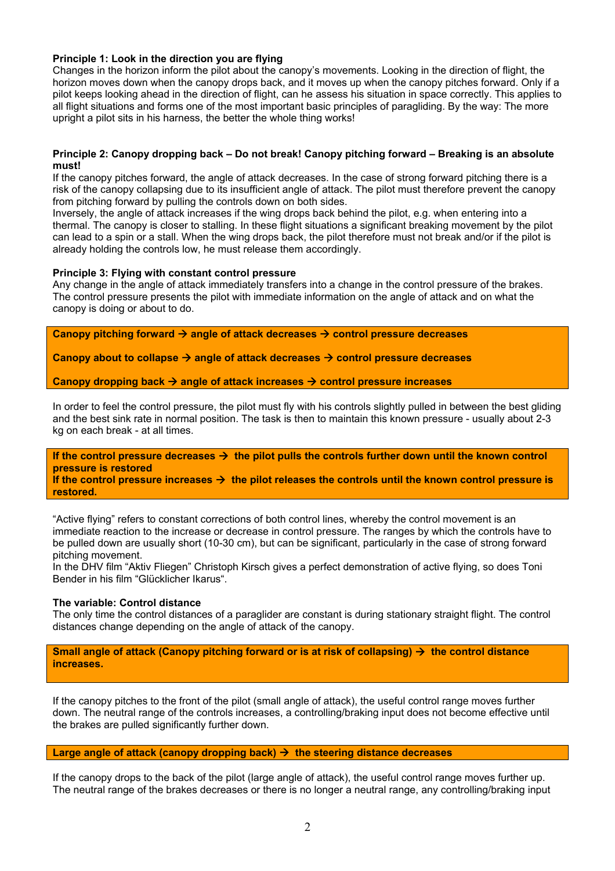# **Principle 1: Look in the direction you are flying**

Changes in the horizon inform the pilot about the canopy's movements. Looking in the direction of flight, the horizon moves down when the canopy drops back, and it moves up when the canopy pitches forward. Only if a pilot keeps looking ahead in the direction of flight, can he assess his situation in space correctly. This applies to all flight situations and forms one of the most important basic principles of paragliding. By the way: The more upright a pilot sits in his harness, the better the whole thing works!

# **Principle 2: Canopy dropping back – Do not break! Canopy pitching forward – Breaking is an absolute must!**

If the canopy pitches forward, the angle of attack decreases. In the case of strong forward pitching there is a risk of the canopy collapsing due to its insufficient angle of attack. The pilot must therefore prevent the canopy from pitching forward by pulling the controls down on both sides.

Inversely, the angle of attack increases if the wing drops back behind the pilot, e.g. when entering into a thermal. The canopy is closer to stalling. In these flight situations a significant breaking movement by the pilot can lead to a spin or a stall. When the wing drops back, the pilot therefore must not break and/or if the pilot is already holding the controls low, he must release them accordingly.

#### **Principle 3: Flying with constant control pressure**

Any change in the angle of attack immediately transfers into a change in the control pressure of the brakes. The control pressure presents the pilot with immediate information on the angle of attack and on what the canopy is doing or about to do.

Canopy pitching forward → angle of attack decreases → control pressure decreases

Canopy about to collapse → angle of attack decreases → control pressure decreases

Canopy dropping back → angle of attack increases → control pressure increases

In order to feel the control pressure, the pilot must fly with his controls slightly pulled in between the best gliding and the best sink rate in normal position. The task is then to maintain this known pressure - usually about 2-3 kg on each break - at all times.

If the control pressure decreases  $\rightarrow$  the pilot pulls the controls further down until the known control **pressure is restored** 

If the control pressure increases  $\rightarrow$  the pilot releases the controls until the known control pressure is **restored.**

"Active flying" refers to constant corrections of both control lines, whereby the control movement is an immediate reaction to the increase or decrease in control pressure. The ranges by which the controls have to be pulled down are usually short (10-30 cm), but can be significant, particularly in the case of strong forward pitching movement.

In the DHV film "Aktiv Fliegen" Christoph Kirsch gives a perfect demonstration of active flying, so does Toni Bender in his film "Glücklicher Ikarus".

# **The variable: Control distance**

The only time the control distances of a paraglider are constant is during stationary straight flight. The control distances change depending on the angle of attack of the canopy.

**Small angle of attack (Canopy pitching forward or is at risk of collapsing) → the control distance increases.** 

If the canopy pitches to the front of the pilot (small angle of attack), the useful control range moves further down. The neutral range of the controls increases, a controlling/braking input does not become effective until the brakes are pulled significantly further down.

# Large angle of attack (canopy dropping back)  $\rightarrow$  the steering distance decreases

If the canopy drops to the back of the pilot (large angle of attack), the useful control range moves further up. The neutral range of the brakes decreases or there is no longer a neutral range, any controlling/braking input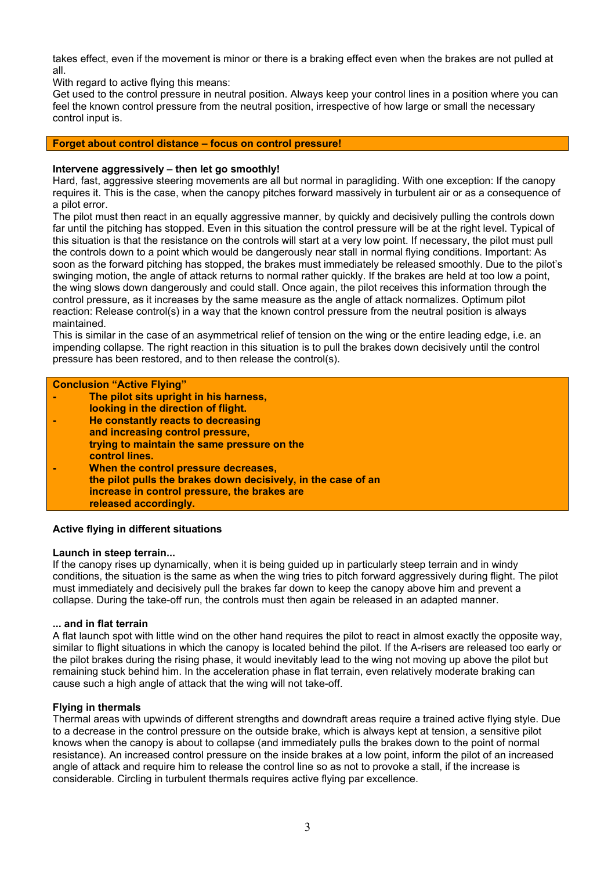takes effect, even if the movement is minor or there is a braking effect even when the brakes are not pulled at all.

With regard to active flying this means:

Get used to the control pressure in neutral position. Always keep your control lines in a position where you can feel the known control pressure from the neutral position, irrespective of how large or small the necessary control input is.

# **Forget about control distance – focus on control pressure!**

# **Intervene aggressively – then let go smoothly!**

Hard, fast, aggressive steering movements are all but normal in paragliding. With one exception: If the canopy requires it. This is the case, when the canopy pitches forward massively in turbulent air or as a consequence of a pilot error.

The pilot must then react in an equally aggressive manner, by quickly and decisively pulling the controls down far until the pitching has stopped. Even in this situation the control pressure will be at the right level. Typical of this situation is that the resistance on the controls will start at a very low point. If necessary, the pilot must pull the controls down to a point which would be dangerously near stall in normal flying conditions. Important: As soon as the forward pitching has stopped, the brakes must immediately be released smoothly. Due to the pilot's swinging motion, the angle of attack returns to normal rather quickly. If the brakes are held at too low a point, the wing slows down dangerously and could stall. Once again, the pilot receives this information through the control pressure, as it increases by the same measure as the angle of attack normalizes. Optimum pilot reaction: Release control(s) in a way that the known control pressure from the neutral position is always maintained.

This is similar in the case of an asymmetrical relief of tension on the wing or the entire leading edge, i.e. an impending collapse. The right reaction in this situation is to pull the brakes down decisively until the control pressure has been restored, and to then release the control(s).

| <b>Conclusion "Active Flying"</b> |                                                               |
|-----------------------------------|---------------------------------------------------------------|
|                                   | The pilot sits upright in his harness,                        |
|                                   | looking in the direction of flight.                           |
|                                   | He constantly reacts to decreasing                            |
|                                   | and increasing control pressure,                              |
|                                   | trying to maintain the same pressure on the                   |
|                                   | control lines.                                                |
|                                   | When the control pressure decreases,                          |
|                                   | the pilot pulls the brakes down decisively, in the case of an |
|                                   | increase in control pressure, the brakes are                  |
|                                   | released accordingly.                                         |

# **Active flying in different situations**

#### **Launch in steep terrain...**

If the canopy rises up dynamically, when it is being guided up in particularly steep terrain and in windy conditions, the situation is the same as when the wing tries to pitch forward aggressively during flight. The pilot must immediately and decisively pull the brakes far down to keep the canopy above him and prevent a collapse. During the take-off run, the controls must then again be released in an adapted manner.

#### **... and in flat terrain**

A flat launch spot with little wind on the other hand requires the pilot to react in almost exactly the opposite way, similar to flight situations in which the canopy is located behind the pilot. If the A-risers are released too early or the pilot brakes during the rising phase, it would inevitably lead to the wing not moving up above the pilot but remaining stuck behind him. In the acceleration phase in flat terrain, even relatively moderate braking can cause such a high angle of attack that the wing will not take-off.

#### **Flying in thermals**

Thermal areas with upwinds of different strengths and downdraft areas require a trained active flying style. Due to a decrease in the control pressure on the outside brake, which is always kept at tension, a sensitive pilot knows when the canopy is about to collapse (and immediately pulls the brakes down to the point of normal resistance). An increased control pressure on the inside brakes at a low point, inform the pilot of an increased angle of attack and require him to release the control line so as not to provoke a stall, if the increase is considerable. Circling in turbulent thermals requires active flying par excellence.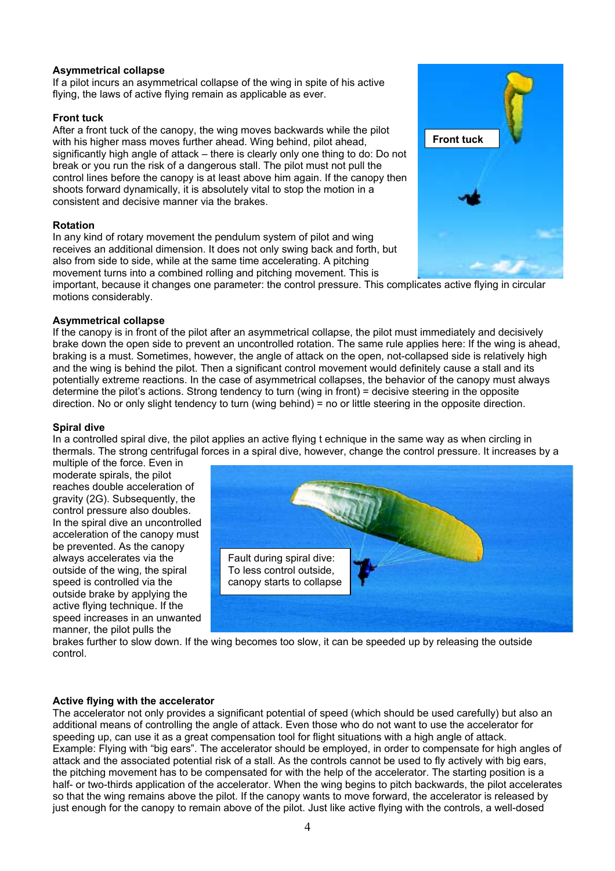# **Asymmetrical collapse**

If a pilot incurs an asymmetrical collapse of the wing in spite of his active flying, the laws of active flying remain as applicable as ever.

# **Front tuck**

After a front tuck of the canopy, the wing moves backwards while the pilot with his higher mass moves further ahead. Wing behind, pilot ahead, significantly high angle of attack – there is clearly only one thing to do: Do not break or you run the risk of a dangerous stall. The pilot must not pull the control lines before the canopy is at least above him again. If the canopy then shoots forward dynamically, it is absolutely vital to stop the motion in a consistent and decisive manner via the brakes.

# **Rotation**

In any kind of rotary movement the pendulum system of pilot and wing receives an additional dimension. It does not only swing back and forth, but also from side to side, while at the same time accelerating. A pitching movement turns into a combined rolling and pitching movement. This is

important, because it changes one parameter: the control pressure. This complicates active flying in circular motions considerably.

#### **Asymmetrical collapse**

If the canopy is in front of the pilot after an asymmetrical collapse, the pilot must immediately and decisively brake down the open side to prevent an uncontrolled rotation. The same rule applies here: If the wing is ahead, braking is a must. Sometimes, however, the angle of attack on the open, not-collapsed side is relatively high and the wing is behind the pilot. Then a significant control movement would definitely cause a stall and its potentially extreme reactions. In the case of asymmetrical collapses, the behavior of the canopy must always determine the pilot's actions. Strong tendency to turn (wing in front) = decisive steering in the opposite direction. No or only slight tendency to turn (wing behind) = no or little steering in the opposite direction.

#### **Spiral dive**

In a controlled spiral dive, the pilot applies an active flying t echnique in the same way as when circling in thermals. The strong centrifugal forces in a spiral dive, however, change the control pressure. It increases by a

multiple of the force. Even in moderate spirals, the pilot reaches double acceleration of gravity (2G). Subsequently, the control pressure also doubles. In the spiral dive an uncontrolled acceleration of the canopy must be prevented. As the canopy always accelerates via the outside of the wing, the spiral speed is controlled via the outside brake by applying the active flying technique. If the speed increases in an unwanted manner, the pilot pulls the



brakes further to slow down. If the wing becomes too slow, it can be speeded up by releasing the outside control.

#### **Active flying with the accelerator**

The accelerator not only provides a significant potential of speed (which should be used carefully) but also an additional means of controlling the angle of attack. Even those who do not want to use the accelerator for speeding up, can use it as a great compensation tool for flight situations with a high angle of attack. Example: Flying with "big ears". The accelerator should be employed, in order to compensate for high angles of attack and the associated potential risk of a stall. As the controls cannot be used to fly actively with big ears, the pitching movement has to be compensated for with the help of the accelerator. The starting position is a half- or two-thirds application of the accelerator. When the wing begins to pitch backwards, the pilot accelerates so that the wing remains above the pilot. If the canopy wants to move forward, the accelerator is released by just enough for the canopy to remain above of the pilot. Just like active flying with the controls, a well-dosed

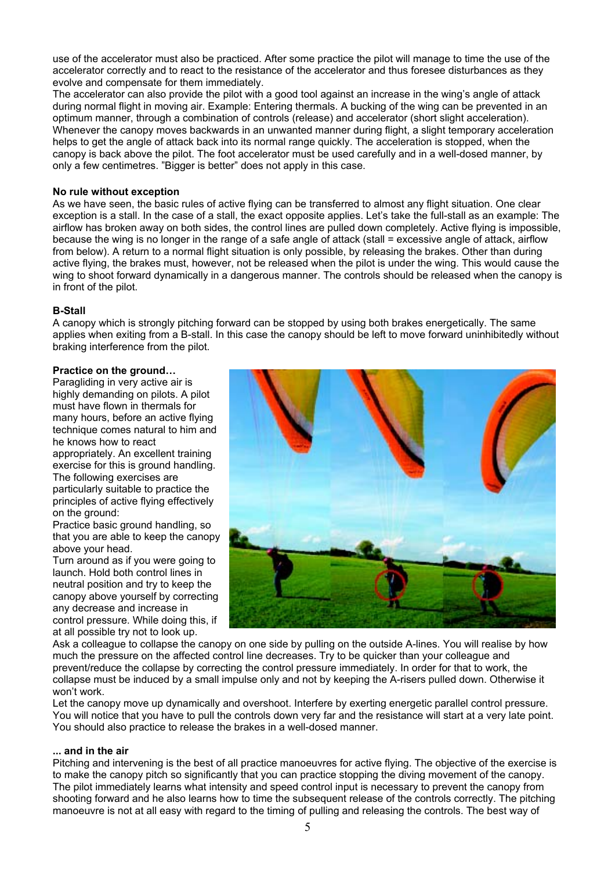use of the accelerator must also be practiced. After some practice the pilot will manage to time the use of the accelerator correctly and to react to the resistance of the accelerator and thus foresee disturbances as they evolve and compensate for them immediately.

The accelerator can also provide the pilot with a good tool against an increase in the wing's angle of attack during normal flight in moving air. Example: Entering thermals. A bucking of the wing can be prevented in an optimum manner, through a combination of controls (release) and accelerator (short slight acceleration). Whenever the canopy moves backwards in an unwanted manner during flight, a slight temporary acceleration helps to get the angle of attack back into its normal range quickly. The acceleration is stopped, when the canopy is back above the pilot. The foot accelerator must be used carefully and in a well-dosed manner, by only a few centimetres. "Bigger is better" does not apply in this case.

### **No rule without exception**

As we have seen, the basic rules of active flying can be transferred to almost any flight situation. One clear exception is a stall. In the case of a stall, the exact opposite applies. Let's take the full-stall as an example: The airflow has broken away on both sides, the control lines are pulled down completely. Active flying is impossible, because the wing is no longer in the range of a safe angle of attack (stall = excessive angle of attack, airflow from below). A return to a normal flight situation is only possible, by releasing the brakes. Other than during active flying, the brakes must, however, not be released when the pilot is under the wing. This would cause the wing to shoot forward dynamically in a dangerous manner. The controls should be released when the canopy is in front of the pilot.

# **B-Stall**

A canopy which is strongly pitching forward can be stopped by using both brakes energetically. The same applies when exiting from a B-stall. In this case the canopy should be left to move forward uninhibitedly without braking interference from the pilot.

# **Practice on the ground…**

Paragliding in very active air is highly demanding on pilots. A pilot must have flown in thermals for many hours, before an active flying technique comes natural to him and he knows how to react appropriately. An excellent training exercise for this is ground handling. The following exercises are particularly suitable to practice the principles of active flying effectively on the ground: Practice basic ground handling, so

that you are able to keep the canopy above your head.

Turn around as if you were going to launch. Hold both control lines in neutral position and try to keep the canopy above yourself by correcting any decrease and increase in control pressure. While doing this, if at all possible try not to look up.



Ask a colleague to collapse the canopy on one side by pulling on the outside A-lines. You will realise by how much the pressure on the affected control line decreases. Try to be quicker than your colleague and prevent/reduce the collapse by correcting the control pressure immediately. In order for that to work, the collapse must be induced by a small impulse only and not by keeping the A-risers pulled down. Otherwise it won't work.

Let the canopy move up dynamically and overshoot. Interfere by exerting energetic parallel control pressure. You will notice that you have to pull the controls down very far and the resistance will start at a very late point. You should also practice to release the brakes in a well-dosed manner.

#### **... and in the air**

Pitching and intervening is the best of all practice manoeuvres for active flying. The objective of the exercise is to make the canopy pitch so significantly that you can practice stopping the diving movement of the canopy. The pilot immediately learns what intensity and speed control input is necessary to prevent the canopy from shooting forward and he also learns how to time the subsequent release of the controls correctly. The pitching manoeuvre is not at all easy with regard to the timing of pulling and releasing the controls. The best way of